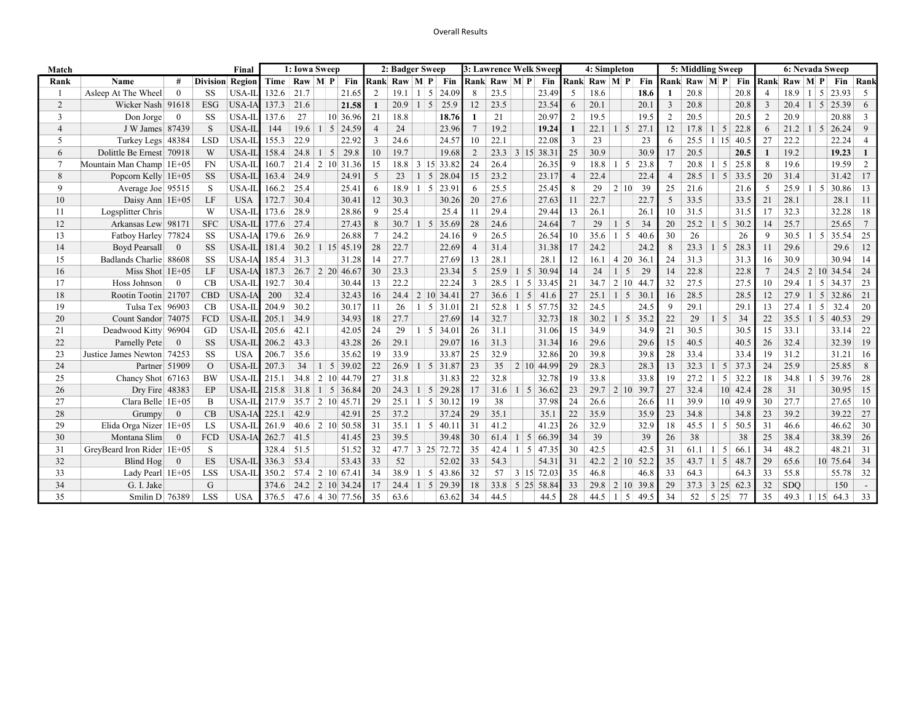## Overall Results

| Match          | Final                      |                |                        |                     |        | 1: Iowa Sweep |            |                          |    | 2: Badger Sweep |                 |                        |          | 3: Lawrence Welk Sweep |                       |       |                | 4: Simpleton    |                     |      | 5: Middling Sweep |                     | 6: Nevada Sweep     |         |               |                |                |                          |                 |
|----------------|----------------------------|----------------|------------------------|---------------------|--------|---------------|------------|--------------------------|----|-----------------|-----------------|------------------------|----------|------------------------|-----------------------|-------|----------------|-----------------|---------------------|------|-------------------|---------------------|---------------------|---------|---------------|----------------|----------------|--------------------------|-----------------|
| Rank           | Name                       | #              | <b>Division Region</b> |                     |        |               |            | Time   Raw   M   P   Fin |    | Rank Raw M P    |                 | Fin                    |          | Rank Raw M P           |                       | Fin   |                | Rank Raw M P    |                     | Fin  |                   | Rank Raw M P        |                     | Fin     |               | Rank Raw M P   |                |                          | Fin Rank        |
|                | Asleep At The Wheel        | $\overline{0}$ | <b>SS</b>              | USA-II              | 132.6  | 21.7          |            | 21.65                    | 2  | 19.1            | $\frac{1}{2}$   | 24.09<br>5             | 8        | 23.5                   |                       | 23.49 | 5              | 18.6            |                     | 18.6 |                   | 20.8                |                     | 20.8    |               | 18.9           | $1 \mid 5$     | 23.93                    | -5              |
| 2              | Wicker Nash 91618          |                | <b>ESG</b>             | <b>USA-IA</b> 137.3 |        | 21.6          |            | 21.58                    |    | 20.9            | $1 \mid 5$      | 25.9                   | 12       | 23.5                   |                       | 23.54 | 6              | 20.1            |                     | 20.1 | 3                 | 20.8                |                     | 20.8    | 3             | $20.4$   1   5 |                | 25.39                    | 6               |
| 3              | Don Jorge                  | $\mathbf{0}$   | SS                     | USA-II              | 137.6  | 27            |            | 10 36.96                 | 21 | 18.8            |                 | 18.76                  |          | 21                     |                       | 20.97 | 2              | 19.5            |                     | 19.5 | 2                 | 20.5                |                     | 20.5    | $\mathcal{D}$ | 20.9           |                | 20.88                    | 3               |
| $\overline{4}$ | J W James 87439            |                | <sub>S</sub>           | USA-IL              | 144    | 19.6          |            | $1 \mid 5 \mid 24.59$    | 4  | 24              |                 | 23.96                  |          | 19.2                   |                       | 19.24 | -1             | 22.1            | $1 \mid 5$          | 27.1 | 12                | $17.8$   1   5      |                     | 22.8    | 6             | 21.2           | $1 \mid 5$     | 26.24                    | 9               |
| 5              | Turkey Legs 48384          |                | <b>LSD</b>             | USA-II              | 155.3  | 22.9          |            | 22.92                    | 3  | 24.6            |                 | 24.57                  | 10       | 22.1                   |                       | 22.08 | 3              | 23              |                     | 23   | 6                 | 25.5                | $1 \,   \, 15$      | 40.5    | 27            | 22.2           |                | 22.24                    | $\overline{4}$  |
| 6              | Dolittle Be Ernest 70918   |                | W                      | USA-IL              | 158.4  | 24.8          | $1 \mid 5$ | 29.8                     | 10 | 19.7            |                 | 19.68                  | 2        |                        | $23.3 \mid 3 \mid 15$ | 38.31 | 25             | 30.9            |                     | 30.9 | 17                | 20.5                |                     | 20.5    |               | 19.2           |                | 19.23                    | $\mathbf{1}$    |
|                | Mountain Man Champ   1E+05 |                | <b>FN</b>              | USA-II              | 160.7  |               |            | $21.4$   2   10   31.36  | 15 | 18.8            |                 | $3 \mid 15 \mid 33.82$ | 24       | 26.4                   |                       | 26.35 | -9             | 18.8            | $1 \mid 5$          | 23.8 |                   | $20.8$   1          | 5                   | 25.8    | 8             | 19.6           |                | 19.59                    | 2               |
| 8              | Popcorn Kelly $1E+05$      |                | <b>SS</b>              | USA-IL              | 163.4  | 24.9          |            | 24.91                    | 5  | 23              |                 | .5<br>28.04            | 15       | 23.2                   |                       | 23.17 | $\overline{4}$ | 22.4            |                     | 22.4 | 4                 | $28.5$   1          | -5                  | 33.5    | 20            | 31.4           |                | 31.42                    | 17              |
| $\mathbf Q$    | Average Joe 95515          |                | S                      | USA-II              | 166.2  | 25.4          |            | 25.41                    | 6  | 18.9            | $1 \mid 5$      | 23.91                  | -6       | 25.5                   |                       | 25.45 | 8              | 29              | 2 10                | 39   | 25                | 21.6                |                     | 21.6    | 5             | 25.9           | $1 \vert 5$    | 30.86                    | 13              |
| 10             | Daisy Ann $1E+05$          |                | LF                     | <b>USA</b>          | 172.7  | 30.4          |            | 30.41                    | 12 | 30.3            |                 | 30.26                  | 20       | 27.6                   |                       | 27.63 | 11             | 22.7            |                     | 22.7 | 5                 | 33.5                |                     | 33.5    | 21            | 28.1           |                | 28.1                     | -11             |
| 11             | Logsplitter Chris          |                | W                      | USA-II              | 173.6  | 28.9          |            | 28.86                    | 9  | 25.4            |                 | 25.4                   | 11       | 29.4                   |                       | 29.44 | 13             | 26.1            |                     | 26.1 | 10                | 31.5                |                     | 31.5    | 17            | 32.3           |                | 32.28                    | 18              |
| 12             | Arkansas Lew 98171         |                | <b>SFC</b>             | USA-IL              | 177.6  | 27.4          |            | 27.43                    | 8  | 30.7            | $1 \mid 5 \mid$ | 35.69                  | 28       | 24.6                   |                       | 24.64 |                | 29              | 5                   | 34   | 20                | $25.2$   1          | 5                   | 30.2    | 14            | 25.7           |                | 25.65                    | $7\phantom{.0}$ |
| 13             | Fatboy Harley 77824        |                | <b>SS</b>              | USA-IA              | 179.6  | 26.9          |            | 26.88                    |    | 24.2            |                 | 24.16                  | 9        | 26.5                   |                       | 26.54 | 10             | 35.6            | 5<br>$\overline{1}$ | 40.6 | 30                | 26                  |                     | 26      |               | 30.5           | $1 \mid 5$     | 35.54                    | 25              |
| 14             | <b>Boyd Pearsall</b>       | $\mathbf{0}$   | <b>SS</b>              | USA-IL              | 181.4  |               |            | $30.2$   1   15   45.19  | 28 | 22.7            |                 | 22.69                  | $\Delta$ | 31.4                   |                       | 31.38 | 17             | 24.2            |                     | 24.2 | 8                 | $23.3$   1   5      |                     | 28.3    | 11            | 29.6           |                | 29.6                     | 12              |
| 15             | Badlands Charlie 88608     |                | <b>SS</b>              | <b>USA-IA</b>       | 185.4  | 31.3          |            | 31.28                    | 14 | 27.7            |                 | 27.69                  | 13       | 28.1                   |                       | 28.1  | 12             | 16.1            | 4 20                | 36.1 | 24                | 31.3                |                     | 31.3    | 16            | 30.9           |                | 30.94                    | 14              |
| 16             | Miss Shot 1E+05            |                | LF                     | USA-IA              | 187.3  |               |            | $26.7$   2   20   46.67  | 30 | 23.3            |                 | 23.34                  |          | 25.9                   | $1 \mid 5$            | 30.94 | 14             | 24              | 5<br>$\overline{1}$ | 29   | 14                | 22.8                |                     | 22.8    |               | 24.5           |                | $2 \mid 10 \mid 34.54$   | 24              |
| 17             | Hoss Johnson               | $\theta$       | CB                     | USA-IL              | 192.7  | 30.4          |            | 30.44                    | 13 | 22.2            |                 | 22.24                  |          | 28.5                   | 5                     | 33.45 | 21             | 34.7            | 2 10                | 44.7 | 32                | 27.5                |                     | 27.5    | 10            | 29.4           |                | 5<br>34.37               | 23              |
| 18             | Rootin Tootin 21707        |                | <b>CBD</b>             | USA-IA              | 200    | 32.4          |            | 32.43                    | 16 | 24.4            |                 | 2 10 34.41             | 27       | 36.6                   | 5<br>-1               | 41.6  | 27             | $25.1$   1   5  |                     | 30.1 | 16                | 28.5                |                     | 28.5    | 12            | 27.9           | $1 \vert 5$    | 32.86                    | 21              |
| 19             | Tulsa Tex 96903            |                | CB                     | USA-II              | 204.9  | 30.2          |            | 30.17                    | 11 | 26              |                 | $1 \mid 5 \mid 31.01$  | 21       | 52.8                   | $1 \mid 5$            | 57.75 | 32             | 24.5            |                     | 24.5 | 9                 | 29.1                |                     | 29.1    | 13            | 27.4           |                | 32.4<br>5                | 20              |
| 20             | Count Sandor 74075         |                | FCD                    | USA-II              | 205.1  | 34.9          |            | 34.93                    | 18 | 27.7            |                 | 27.69                  | 14       | 32.7                   |                       | 32.73 | 18             | $30.2$   1   5  |                     | 35.2 | 22                | 29                  | 1 <sup>1</sup><br>5 | 34      | 22            | 35.5           | $1 \mid 5$     | 40.53                    | 29              |
| 21             | Deadwood Kitty 96904       |                | GD                     | USA-II              | 205.6  | 42.1          |            | 42.05                    | 24 | 29              |                 | $1 \mid 5 \mid 34.01$  | 26       | 31.1                   |                       | 31.06 | 15             | 34.9            |                     | 34.9 | 21                | 30.5                |                     | 30.5    | 15            | 33.1           |                | 33.14                    | 22              |
| 22             | Parnelly Pete              | $\overline{0}$ | <b>SS</b>              | USA-IL              | 206.2  | 43.3          |            | 43.28                    | 26 | 29.1            |                 | 29.07                  | 16       | 31.3                   |                       | 31.34 | 16             | 29.6            |                     | 29.6 | 15                | 40.5                |                     | 40.5    | 26            | 32.4           |                | 32.39                    | 19              |
| 23             | Justice James Newton 74253 |                | SS                     | <b>USA</b>          | 206.7  | 35.6          |            | 35.62                    | 19 | 33.9            |                 | 33.87                  | 25       | 32.9                   |                       | 32.86 | 20             | 39.8            |                     | 39.8 | 28                | 33.4                |                     | 33.4    | 19            | 31.2           |                | 31.21                    | -16             |
| 24             | Partner 51909              |                | $\Omega$               | USA-II              | 207.3  | 34            |            | $1 \mid 5 \mid 39.02$    | 22 | 26.9            |                 | $1 \mid 5 \mid 31.87$  | 23       | 35                     | $2 10 $ 44.99         |       | 29             | 28.3            |                     | 28.3 | 13                | 32.3                | $1 \mid 5 \mid$     | 37.3    | 24            | 25.9           |                | 25.85                    | 8               |
| 25             | Chancy Shot 67163          |                | <b>BW</b>              | USA-II              | 215.1  |               |            | 34.8 2 10 44.79          | 27 | 31.8            |                 | 31.83                  | 22       | 32.8                   |                       | 32.78 | 19             | 33.8            |                     | 33.8 | 19                | 27.2                | 5 <sup>1</sup>      | 32.2    | 18            | 34.8           |                | 39.76<br>$\vert 5 \vert$ | 28              |
| 26             | Dry Fire 48383             |                | <b>EP</b>              | $USA-IL$ 215.8      |        |               |            | $31.8$   1   5   36.84   | 20 | 24.3            |                 | $1 \mid 5 \mid 29.28$  | 17       | 31.6                   | $1 \vert 5$           | 36.62 | 23             | $29.7$   2   10 |                     | 39.7 | 27                | 32.4                |                     | 10 42.4 | 28            | 31             |                | 30.95                    | 15              |
| 27             | Clara Belle 1E+05          |                | <sup>B</sup>           | USA-II              | 217.9  |               |            | $35.7$   2   10   45.71  | 29 | 25.1            | $1 \mid 5 \mid$ | 30.12                  | 19       | 38                     |                       | 37.98 | 24             | 26.6            |                     | 26.6 | 11                | 39.9                |                     | 10 49.9 | 30            | 27.7           |                | 27.65                    | 10              |
| 28             | Grumpy                     | $\overline{0}$ | CB                     | <b>USA-IA</b> 225.1 |        | 42.9          |            | 42.91                    | 25 | 37.2            |                 | 37.24                  | 29       | 35.1                   |                       | 35.1  | 22             | 35.9            |                     | 35.9 | 23                | 34.8                |                     | 34.8    | 23            | 39.2           |                | 39.22                    | 27              |
| 29             | Elida Orga Nizer 1E+05     |                | <b>LS</b>              | USA-II              | 261.9  |               |            | $40.6$   2   10   50.58  | 31 | 35.1            | $1 \mid 5 \mid$ | 40.1                   | 31       | 41.2                   |                       | 41.23 | 26             | 32.9            |                     | 32.9 | 18                | 45.5                | $1 \mid 5 \mid$     | 50.5    | 31            | 46.6           |                | 46.62                    | 30              |
| 30             | Montana Slim               | $\theta$       | FCD                    | USA-IA 262.7        |        | 41.5          |            | 41.45                    | 23 | 39.5            |                 | 39.48                  | 30       | 61.4                   | $1 \mid 5$            | 66.39 | 34             | 39              |                     | 39   | 26                | 38                  |                     | 38      | 25            | 38.4           |                | 38.39                    | 26              |
| 31             | GreyBeard Iron Rider 1E+05 |                | S                      |                     | 328.4  | 51.5          |            | 51.52                    | 32 |                 |                 | $47.7$ 3 25 72.72      | 35       | 42.4                   | $1 \vert 5$           | 47.35 | 30             | 42.5            |                     | 42.5 | 31                | $61.1$   1          | 5                   | 66.1    | 34            | 48.2           |                | 48.21                    | 31              |
| 32             | Blind Hog                  | $\overline{0}$ | ES                     | USA-IL              | 1336.3 | 53.4          |            | 53.43                    | 33 | 52              |                 | 52.02                  | 33       | 54.3                   |                       | 54.31 | 31             | $42.2$   2   10 |                     | 52.2 | 35                | 43.7                | 1 <sup>1</sup><br>5 | 48.7    | 29            | 65.6           |                | 10 75.64                 | 34              |
| 33             | Lady Pearl 1E+05           |                | <b>LSS</b>             | <b>USA-IL</b>       | 1350.2 |               |            | $57.4$   2   10   67.41  | 34 | 38.9            | $1 \mid 5 \mid$ | 43.86                  | 32       | 57                     | 3 15                  | 72.03 | 35             | 46.8            |                     | 46.8 | 33                | 64.3                |                     | 64.3    | 33            | 55.8           |                | 55.78                    | 32              |
| 34             | G. I. Jake                 |                | G                      |                     | 374.6  |               |            | $24.2$   2   10   34.24  | 17 | 24.4            | $1 \mid 5 \mid$ | 29.39                  | 18       |                        | 33.8 5 25 58.84       |       | 33             | 29.8            | 2 10                | 39.8 | 29                | $37.3$ 3 25 62.3    |                     |         | 32            | <b>SDO</b>     |                | 150                      | $\sim$          |
| 35             | Smilin D 76389             |                | <b>LSS</b>             | <b>USA</b>          | 376.5  |               |            | $47.6$   4   30   77.56  | 35 | 63.6            |                 | 63.62                  | 34       | 44.5                   |                       | 44.5  | 28             | 44.5            | 5<br>$\perp$        | 49.5 | 34                | $52 \mid 5 \mid 25$ |                     | 77      | 35            | 49.3           | $1 \,   \, 15$ | 64.3                     | 33              |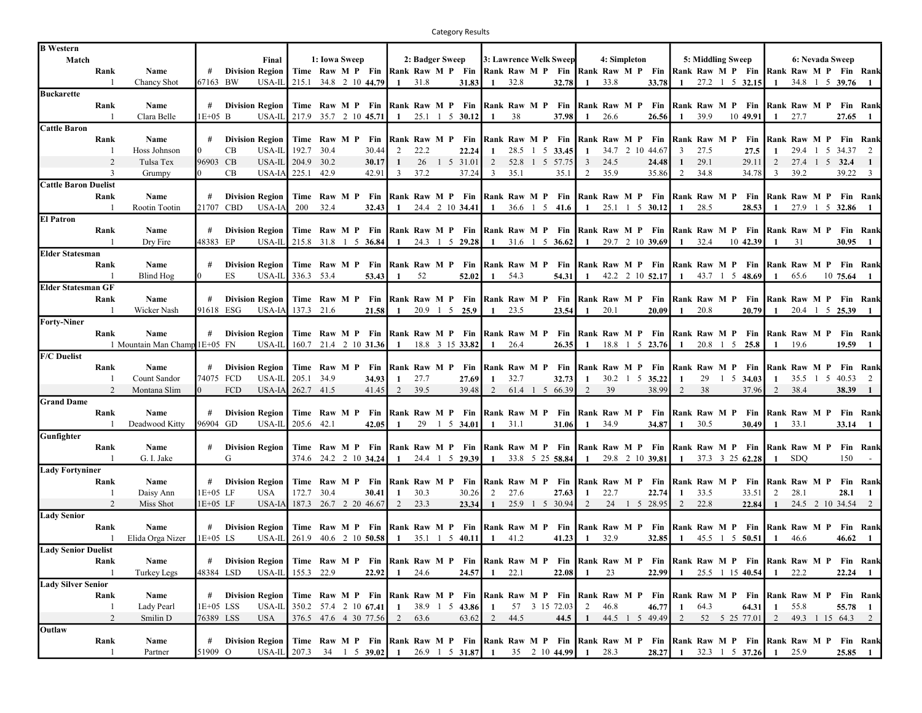Category Results

| <b>B</b> Western            |                        |                               |             |            |                                                                                                                                          |                                                                                                            |                  |                                   |                  |                  |               |                                                |               |        |                 |                        |                |                  |                                                                |                  |                   |                       |                               |              |                |                       |                   |                         |
|-----------------------------|------------------------|-------------------------------|-------------|------------|------------------------------------------------------------------------------------------------------------------------------------------|------------------------------------------------------------------------------------------------------------|------------------|-----------------------------------|------------------|------------------|---------------|------------------------------------------------|---------------|--------|-----------------|------------------------|----------------|------------------|----------------------------------------------------------------|------------------|-------------------|-----------------------|-------------------------------|--------------|----------------|-----------------------|-------------------|-------------------------|
| Match                       |                        |                               |             |            | Final                                                                                                                                    |                                                                                                            | 1: Iowa Sweep    |                                   |                  | 2: Badger Sweep  |               |                                                |               |        |                 | 3: Lawrence Welk Sweep |                | 4: Simpleton     |                                                                |                  | 5: Middling Sweep |                       |                               |              |                | 6: Nevada Sweep       |                   |                         |
|                             | Rank                   | Name                          | #           |            | <b>Division Region</b>                                                                                                                   |                                                                                                            |                  | Time Raw M P Fin Rank Raw M P Fin |                  |                  |               |                                                | Rank Raw M P  |        |                 | Fin                    |                |                  | Rank Raw M P Fin Rank Raw M P Fin                              |                  |                   |                       |                               |              |                | Rank Raw M P Fin Rank |                   |                         |
|                             |                        | Chancy Shot                   | 67163 BW    |            | USA-IL                                                                                                                                   | 215.1                                                                                                      |                  | 34.8 2 10 44.79                   | 1                | 31.8             |               | 31.83                                          | $\mathbf{1}$  | 32.8   |                 | 32.78                  |                | 33.8             | 33.78                                                          | -1               |                   |                       | 27.2 1 5 32.15                | $\mathbf{1}$ | 34.8           |                       | $1\;\;5\;\;39.76$ | $\mathbf{1}$            |
| <b>Buckarette</b>           |                        |                               |             |            |                                                                                                                                          |                                                                                                            |                  |                                   |                  |                  |               |                                                |               |        |                 |                        |                |                  |                                                                |                  |                   |                       |                               |              |                |                       |                   |                         |
|                             | Rank                   | Name                          |             |            | # Division Region                                                                                                                        | Time Raw M P Fin Rank Raw M P Fin                                                                          |                  |                                   |                  |                  |               |                                                | Rank Raw M P  |        |                 | Fin                    |                |                  | Rank Raw M P Fin Rank Raw M P Fin                              |                  |                   |                       |                               |              |                | Rank Raw M P          |                   | <b>Fin Rank</b>         |
|                             |                        | Clara Belle                   | 1E+05 B     |            | USA-II                                                                                                                                   | 217.9                                                                                                      |                  | 35.7 2 10 45.71                   | 1                |                  |               | 25.1 1 5 30.12                                 |               | 38     |                 | 37.98                  |                | 26.6             | 26.56                                                          |                  | 39.9              |                       | 10 49.91                      |              | 27.7           |                       | 27.65             | $\blacksquare$          |
| <b>Cattle Baron</b>         |                        |                               |             |            |                                                                                                                                          |                                                                                                            |                  |                                   |                  |                  |               |                                                |               |        |                 |                        |                |                  |                                                                |                  |                   |                       |                               |              |                |                       |                   |                         |
|                             | Rank                   | Name                          |             |            | <b>Division Region</b>                                                                                                                   | Time                                                                                                       | Raw M P          | Fin                               |                  | Rank Raw M P     |               | Fin                                            | Rank Raw M P  |        |                 | Fin                    |                | Rank Raw M P     | Fin                                                            | Rank Raw M P     |                   |                       | Fin                           | Rank Raw M P |                |                       |                   | Fin Rank                |
|                             |                        | Hoss Johnson                  |             | CB         | USA-IL                                                                                                                                   | 192.7                                                                                                      | 30.4             | 30.44                             | 2                | 22.2             |               | 22.24                                          |               | 28.5 1 | $5\overline{)}$ | 33.45                  | -1             |                  | 34.7 2 10 44.67                                                | 3                | 27.5              |                       | 27.5                          | 1            | 29.4 1         | 5                     | 34.37             | 2                       |
|                             |                        | Tulsa Tex                     | 96903 CB    |            | USA-II                                                                                                                                   | 204.9 30.2                                                                                                 |                  | 30.17                             |                  | 26               |               | 1 5 31.01                                      | 2             |        | 52.8 1 5        | 57.75                  | 3              | 24.5             | 24.48                                                          | 1                | 29.1              |                       | 29.11                         | 2            |                | 27.4 1 5 32.4         |                   | $\mathbf{1}$            |
|                             | 3                      | Grumpy                        |             | CB         | USA-IA                                                                                                                                   | 225.1                                                                                                      | 42.9             | 42.91                             | 3                | 37.2             |               | 37.24                                          | 3             | 35.1   |                 | 35.1                   | $\mathcal{D}$  | 35.9             | 35.86                                                          | 2                | 34.8              |                       | 34.78                         | 3            | 39.2           |                       | 39.22             | $\overline{\mathbf{3}}$ |
| <b>Cattle Baron Duelist</b> |                        |                               |             |            |                                                                                                                                          |                                                                                                            |                  |                                   |                  |                  |               |                                                |               |        |                 |                        |                |                  |                                                                |                  |                   |                       |                               |              |                |                       |                   |                         |
|                             |                        |                               |             |            |                                                                                                                                          |                                                                                                            |                  |                                   |                  |                  |               |                                                |               |        |                 |                        |                |                  |                                                                |                  |                   |                       |                               |              |                |                       |                   |                         |
|                             | Rank                   | Name                          |             |            | <b>Division Region</b>                                                                                                                   |                                                                                                            | Time Raw M P Fin |                                   |                  | Rank Raw M P Fin |               |                                                |               |        |                 | Rank Raw M P Fin       |                | Rank Raw M P Fin |                                                                | Rank Raw M P     |                   |                       | Fin                           |              |                | Rank Raw M P          |                   | <b>Fin Rank</b>         |
|                             |                        | Rootin Tootin                 | 21707       | <b>CBD</b> | USA-IA                                                                                                                                   | 200                                                                                                        | 32.4             | 32.43                             | -1               |                  |               | 24.4 2 10 34.41                                | -1            |        |                 | 36.6 1 5 41.6          | -1             | 25.1             | $1 \quad 5 \quad 30.12$                                        | -1               | 28.5              |                       | 28.53                         | -1           | 27.9           |                       | $1\;\;5\;\;32.86$ |                         |
| <b>El Patron</b>            |                        |                               |             |            |                                                                                                                                          |                                                                                                            |                  |                                   |                  |                  |               |                                                |               |        |                 |                        |                |                  |                                                                |                  |                   |                       |                               |              |                |                       |                   |                         |
|                             | Rank                   | Name                          | #           |            | <b>Division Region</b>                                                                                                                   |                                                                                                            |                  | Time Raw M P Fin Rank Raw M P Fin |                  |                  |               |                                                |               |        |                 | Rank Raw M P Fin       |                |                  | Rank Raw M P Fin Rank Raw M P Fin                              |                  |                   |                       |                               |              |                | Rank Raw M P          | <b>Fin Rank</b>   |                         |
|                             | $\overline{1}$         | Dry Fire                      | 48383 EP    |            | USA-IL                                                                                                                                   | 215.8 31.8 1 5 36.84                                                                                       |                  |                                   | -1               |                  |               | 24.3 1 5 29.28                                 | -1            |        |                 | 31.6 1 5 36.62         | -1             |                  | 29.7 2 10 39.69                                                | -1               | 32.4              |                       | 10 42.39                      | -1           | 31             |                       | 30.95             | $\blacksquare$          |
| <b>Elder Statesman</b>      |                        |                               |             |            |                                                                                                                                          |                                                                                                            |                  |                                   |                  |                  |               |                                                |               |        |                 |                        |                |                  |                                                                |                  |                   |                       |                               |              |                |                       |                   |                         |
|                             | Rank                   | Name                          |             |            | <b>Division Region</b>                                                                                                                   |                                                                                                            |                  | Time Raw M P Fin Rank Raw M P     |                  |                  |               | Fin                                            | Rank Raw M P  |        |                 | Fin                    |                |                  | Rank Raw M P Fin Rank Raw M P                                  |                  |                   |                       | Fin                           |              |                | Rank Raw M P          |                   | <b>Fin Rank</b>         |
|                             |                        | Blind Hog                     |             | ES.        | USA-IL                                                                                                                                   | 336.3 53.4                                                                                                 |                  | 53.43                             | -1               | 52               |               | 52.02                                          | -1            | 54.3   |                 | 54.31                  |                |                  | 42.2 2 10 52.17                                                | -1               |                   |                       | 43.7 1 5 48.69                | -1           | 65.6           |                       | 10 75.64          |                         |
| <b>Elder Statesman GF</b>   |                        |                               |             |            |                                                                                                                                          |                                                                                                            |                  |                                   |                  |                  |               |                                                |               |        |                 |                        |                |                  |                                                                |                  |                   |                       |                               |              |                |                       |                   |                         |
|                             | Rank                   | Name                          |             |            | <b>Division Region</b>                                                                                                                   | Time Raw M P Fin Rank Raw M P Fin                                                                          |                  |                                   |                  |                  |               |                                                | Rank Raw M P  |        |                 | Fin                    |                |                  | <b>Rank Raw M P Fin Rank Raw M P Fin Rank Raw M P Fin Rank</b> |                  |                   |                       |                               |              |                |                       |                   |                         |
|                             | - 1                    | Wicker Nash                   |             | 91618 ESG  | USA-IA                                                                                                                                   | 137.3 21.6                                                                                                 |                  | 21.58                             | -1               |                  | 20.9 1 5 25.9 |                                                |               | 23.5   |                 | 23.54                  |                | 20.1             | 20.09                                                          | -1               | 20.8              |                       | 20.79                         | -1           |                | 20.4 1 5 25.39        |                   |                         |
| <b>Forty-Niner</b>          |                        |                               |             |            |                                                                                                                                          |                                                                                                            |                  |                                   |                  |                  |               |                                                |               |        |                 |                        |                |                  |                                                                |                  |                   |                       |                               |              |                |                       |                   |                         |
|                             | Rank                   | Name                          |             |            | <b>Division Region</b>                                                                                                                   |                                                                                                            |                  | Time Raw M P Fin Rank Raw M P Fin |                  |                  |               |                                                | Rank Raw M P  |        |                 | Fin                    |                |                  | Rank Raw M P Fin Rank Raw M P                                  |                  |                   |                       | Fin                           |              |                | Rank Raw M P Fin Rank |                   |                         |
|                             |                        | 1 Mountain Man Champ 1E+05 FN |             |            | USA-IL                                                                                                                                   |                                                                                                            |                  | 160.7 21.4 2 10 31.36             | $\mathbf{1}$     |                  |               | 18.8 3 15 33.82                                | -1            | 26.4   |                 | 26.35                  | -1             |                  | 18.8 1 5 23.76                                                 | -1               |                   | 20.8 1 5 25.8         |                               | $\mathbf{1}$ | 19.6           |                       | 19.59             | $\blacksquare$          |
| <b>F/C Duelist</b>          |                        |                               |             |            |                                                                                                                                          |                                                                                                            |                  |                                   |                  |                  |               |                                                |               |        |                 |                        |                |                  |                                                                |                  |                   |                       |                               |              |                |                       |                   |                         |
|                             | Rank                   | Name                          |             |            | <b>Division Region</b>                                                                                                                   |                                                                                                            | Time Raw M P     | Fin                               | Rank Raw M P     |                  |               | Fin                                            | Rank Raw M P  |        |                 | Fin                    |                | Rank Raw M P     |                                                                | Fin Rank Raw M P |                   |                       | Fin                           |              |                | Rank Raw M P          |                   | Fin Rank                |
|                             |                        | Count Sandor                  |             | 74075 FCD  | USA-II                                                                                                                                   | 205.1                                                                                                      | 34.9             | 34.93                             | $\mathbf{1}$     | 27.7             |               | 27.69                                          |               | 32.7   |                 | 32.73                  |                |                  | 30.2 1 5 35.22                                                 | -1               | 29                | $1\quad 5\quad 34.03$ |                               | $\mathbf{1}$ |                | 35.5 1 5              | 40.53             | $\overline{2}$          |
|                             |                        | Montana Slim                  |             | <b>FCD</b> | USA-IA                                                                                                                                   | 262.7 41.5                                                                                                 |                  | 41.45                             | 2                | 39.5             |               | 39.48                                          | $\mathcal{D}$ |        | 61.4 1 5        | 66.39                  | $\mathfrak{D}$ | 39               | 38.99                                                          | 2                | 38                |                       | 37.96                         | 2            | 38.4           |                       | 38.39             | $\blacksquare$          |
| <b>Grand Dame</b>           |                        |                               |             |            |                                                                                                                                          |                                                                                                            |                  |                                   |                  |                  |               |                                                |               |        |                 |                        |                |                  |                                                                |                  |                   |                       |                               |              |                |                       |                   |                         |
|                             | Rank                   | Name                          | #           |            | <b>Division Region</b>                                                                                                                   |                                                                                                            | Time Raw M P Fin |                                   | Rank Raw M P Fin |                  |               |                                                |               |        |                 | Rank Raw M P Fin       |                | Rank Raw M P Fin |                                                                |                  | Rank Raw M P Fin  |                       |                               |              |                | Rank Raw M P Fin Rank |                   |                         |
|                             |                        | Deadwood Kitty                | 96904       | GD         | USA-IL                                                                                                                                   | 205.6                                                                                                      | 42.1             | 42.05                             |                  | 29               |               | $1\;\;5\;\;34.01$                              |               | 31.1   |                 | 31.06                  |                | 34.9             | 34.87                                                          |                  | 30.5              |                       | 30.49                         | -1           | 33.1           |                       | 33.14             |                         |
| Gunfighter                  |                        |                               |             |            |                                                                                                                                          |                                                                                                            |                  |                                   |                  |                  |               |                                                |               |        |                 |                        |                |                  |                                                                |                  |                   |                       |                               |              |                |                       |                   |                         |
|                             |                        |                               |             |            |                                                                                                                                          |                                                                                                            |                  |                                   |                  |                  |               |                                                |               |        |                 |                        |                |                  |                                                                |                  |                   |                       |                               |              |                |                       |                   |                         |
|                             | Rank<br>$\overline{1}$ | Name                          |             |            | <b>Division Region</b>                                                                                                                   |                                                                                                            |                  | Time Raw M P Fin Rank Raw M P Fin |                  |                  |               |                                                |               |        |                 | Rank Raw M P Fin       |                |                  | Rank Raw M P Fin Rank Raw M P Fin                              |                  |                   |                       |                               |              |                | Rank Raw M P          |                   | <b>Fin Rank</b>         |
|                             |                        | G. I. Jake                    |             | G          |                                                                                                                                          | 374.6 24.2 2 10 34.24                                                                                      |                  |                                   | 1                |                  |               | 24.4 1 5 29.39                                 | -1            |        |                 | 33.8 5 25 58.84        | -1             |                  | 29.8 2 10 39.81                                                | -1               |                   |                       | 37.3 3 25 62.28               | -1           | <b>SDO</b>     |                       | 150               |                         |
| <b>Lady Fortyniner</b>      |                        |                               |             |            |                                                                                                                                          |                                                                                                            |                  |                                   |                  |                  |               |                                                |               |        |                 |                        |                |                  |                                                                |                  |                   |                       |                               |              |                |                       |                   |                         |
|                             | Rank                   | Name                          | #           |            | <b>Division Region</b>                                                                                                                   |                                                                                                            |                  | Time Raw M P Fin                  |                  | Rank Raw M P Fin |               |                                                | Rank Raw M P  |        |                 | Fin                    |                |                  | Rank Raw M P Fin                                               |                  | Rank Raw M P      |                       | Fin                           |              |                | Rank Raw M P          |                   | <b>Fin Rank</b>         |
|                             | -1                     | Daisy Ann                     | 1E+05 LF    |            | <b>USA</b>                                                                                                                               | 172.7                                                                                                      | 30.4             | 30.41                             | 1                | 30.3             |               | 30.26                                          | 2             | 27.6   |                 | 27.63                  | -1             | 22.7             | 22.74                                                          | -1               | 33.5              |                       | 33.51                         | 2            | 28.1           |                       | 28.1              | $\mathbf{1}$            |
|                             | 2                      | Miss Shot                     | 1E+05 LF    |            |                                                                                                                                          | USA-IA 187.3 26.7 2 20 46.67                                                                               |                  |                                   | 2                | 23.3             |               | 23.34                                          | -1            |        |                 | 25.9 1 5 30.94         | 2              |                  | 24 1 5 28.95                                                   | 2                | 22.8              |                       | 22.84                         | -1           |                | 24.5 2 10 34.54 2     |                   |                         |
| <b>Lady Senior</b>          |                        |                               |             |            |                                                                                                                                          |                                                                                                            |                  |                                   |                  |                  |               |                                                |               |        |                 |                        |                |                  |                                                                |                  |                   |                       |                               |              |                |                       |                   |                         |
|                             | Rank                   | Name                          | #           |            | <b>Division Region</b>                                                                                                                   |                                                                                                            |                  |                                   |                  |                  |               | Time Raw M P Fin Rank Raw M P Fin Rank Raw M P |               |        |                 |                        |                |                  | Fin Rank Raw M P Fin Rank Raw M P Fin Rank Raw M P             |                  |                   |                       |                               |              |                |                       |                   | <b>Fin Rank</b>         |
|                             |                        | Elida Orga Nizer              | 1E+05 LS    |            | USA-IL                                                                                                                                   | 261.9 40.6 2 10 50.58                                                                                      |                  |                                   | -1               |                  |               | 35.1 1 5 40.11                                 | -1            | 41.2   |                 | 41.23                  | -1             | 32.9             | 32.85                                                          | -1               |                   | 45.5 1 5 50.51        |                               | -1           | 46.6           |                       | 46.62             | $\blacksquare$          |
| <b>Lady Senior Duelist</b>  |                        |                               |             |            |                                                                                                                                          |                                                                                                            |                  |                                   |                  |                  |               |                                                |               |        |                 |                        |                |                  |                                                                |                  |                   |                       |                               |              |                |                       |                   |                         |
|                             | Rank                   | Name                          |             |            | Division Region   Time Raw M P Fin  Rank Raw M P Fin  Rank Raw M P Fin  Rank Raw M P Fin  Rank Raw M P Fin Pank                          |                                                                                                            |                  |                                   |                  |                  |               |                                                |               |        |                 |                        |                |                  |                                                                |                  |                   |                       |                               |              |                |                       |                   |                         |
|                             | -1                     | Turkey Legs                   |             | 48384 LSD  | USA-IL 155.3 22.9                                                                                                                        |                                                                                                            |                  | 22.92                             | $\mathbf{1}$     | 24.6             |               | 24.57                                          | -1            | 22.1   |                 | 22.08                  | -1             | 23               | 22.99                                                          | - 1              |                   |                       | 25.5 1 15 40.54 1 22.2        |              |                |                       | $22.24 \quad 1$   |                         |
| <b>Lady Silver Senior</b>   |                        |                               |             |            |                                                                                                                                          |                                                                                                            |                  |                                   |                  |                  |               |                                                |               |        |                 |                        |                |                  |                                                                |                  |                   |                       |                               |              |                |                       |                   |                         |
|                             | Rank                   | Name                          |             |            | # Division Region                                                                                                                        | Time Raw M P Fin Rank Raw M P Fin Rank Raw M P Fin Rank Raw M P Fin Rank Raw M P Fin Rank Raw M P Fin Rank |                  |                                   |                  |                  |               |                                                |               |        |                 |                        |                |                  |                                                                |                  |                   |                       |                               |              |                |                       |                   |                         |
|                             | - 1                    | Lady Pearl                    | $1E+05$ LSS |            | USA-IL 350.2 57.4 2 10 67.41                                                                                                             |                                                                                                            |                  |                                   |                  |                  |               | $1 \quad 38.9 \quad 1 \quad 5 \quad 43.86$     | -1            |        |                 | 57 3 15 72.03          | <sup>2</sup>   | 46.8             | 46.77                                                          | -1               | 64.3              |                       | 64.31                         |              | $1 \quad 55.8$ |                       | 55.78 1           |                         |
|                             | 2                      | Smilin D                      | 76389 LSS   |            | USA                                                                                                                                      | $\begin{array}{ c c c c c c c c c } \hline 376.5 & 47.6 & 4 & 30 & 77.56 & 2 & 63.6 \hline \end{array}$    |                  |                                   |                  |                  |               | 63.62                                          | 2             | 44.5   |                 | 44.5                   | $\mathbf{1}$   |                  | 44.5 1 5 49.49                                                 | 2                |                   |                       | 52 5 25 77.01                 |              |                | 2 49.3 1 15 64.3 2    |                   |                         |
| Outlaw                      |                        |                               |             |            |                                                                                                                                          |                                                                                                            |                  |                                   |                  |                  |               |                                                |               |        |                 |                        |                |                  |                                                                |                  |                   |                       |                               |              |                |                       |                   |                         |
|                             | Rank                   | Name                          |             |            | # Division Region   Time Raw M P Fin   Rank Raw M P Fin   Rank Raw M P Fin   Rank Raw M P Fin   Rank Raw M M P Fin Rank Raw M P Fin Rank |                                                                                                            |                  |                                   |                  |                  |               |                                                |               |        |                 |                        |                |                  |                                                                |                  |                   |                       |                               |              |                |                       |                   |                         |
|                             | -1                     | Partner                       | 51909 O     |            | USA-IL 207.3 34 1 5 39.02 1 26.9 1 5 31.87 1 35 2 10 44.99 1 28.3                                                                        |                                                                                                            |                  |                                   |                  |                  |               |                                                |               |        |                 |                        |                |                  |                                                                |                  |                   |                       | 28.27 1 32.3 1 5 37.26 1 25.9 |              |                |                       | 25.85 1           |                         |
|                             |                        |                               |             |            |                                                                                                                                          |                                                                                                            |                  |                                   |                  |                  |               |                                                |               |        |                 |                        |                |                  |                                                                |                  |                   |                       |                               |              |                |                       |                   |                         |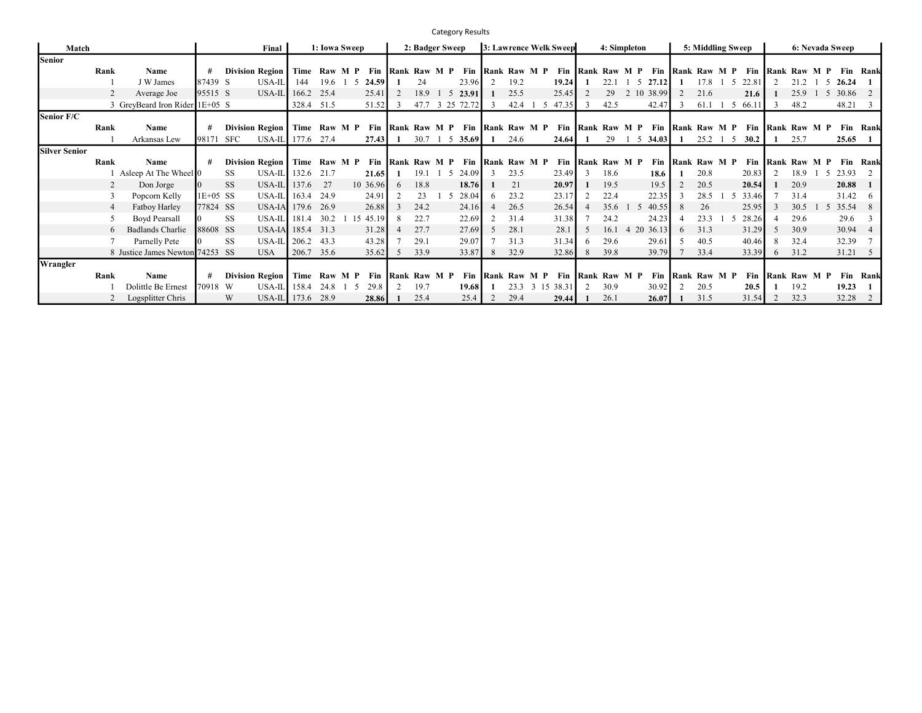|                      |      |                                 |            |                             |                   |        |               |          |    |                  |    | <b>Category Results</b>                        |    |                  |     |                               |    |                  |                |                                                          |              |                   |    |       |   |              |                 |                 |                 |
|----------------------|------|---------------------------------|------------|-----------------------------|-------------------|--------|---------------|----------|----|------------------|----|------------------------------------------------|----|------------------|-----|-------------------------------|----|------------------|----------------|----------------------------------------------------------|--------------|-------------------|----|-------|---|--------------|-----------------|-----------------|-----------------|
| Match                |      |                                 |            | Final                       |                   |        | 1: Iowa Sweep |          |    | 2: Badger Sweep  |    |                                                |    |                  |     | <b>3: Lawrence Welk Sweep</b> |    | 4: Simpleton     |                |                                                          |              | 5: Middling Sweep |    |       |   |              | 6: Nevada Sweep |                 |                 |
| <b>Senior</b>        |      |                                 |            |                             |                   |        |               |          |    |                  |    |                                                |    |                  |     |                               |    |                  |                |                                                          |              |                   |    |       |   |              |                 |                 |                 |
|                      | Rank | Name                            | #          | <b>Division Region</b>      | Time              |        | Raw M P       | Fin      |    | Rank Raw M P     |    |                                                |    | Fin Rank Raw M P |     |                               |    |                  |                | Fin Rank Raw M P Fin Rank Raw M P Fin Rank Raw M P       |              |                   |    |       |   |              |                 |                 | <b>Fin Rank</b> |
|                      |      | J W James                       | 87439 S    | USA-IL                      | 144               | 19.6 1 | .5            | 24.59    |    | 24               |    | 23.96                                          |    | 19.2             |     | 19.24                         |    | 22.1             |                | $5\quad 27.12$                                           |              | 17.8              | -5 | 22.81 |   | 21.2         | 5               | 26.24           |                 |
|                      |      | Average Joe                     | 95515 S    | USA-IL                      | 166.2             | 25.4   |               | 25.41    |    | 18.9             |    | 5 23.91                                        |    | 25.5             |     | 25.45                         |    | 29               |                | 2 10 38.99                                               |              | 21.6              |    | 21.6  |   | 25.9         | -5              | 30.86 2         |                 |
|                      |      | 3 GreyBeard Iron Rider 1E+05 S  |            |                             | 328.4 51.5        |        |               | 51.52    | -3 | 47.7             |    | 3 25 72.72                                     |    | 42.4             | - 5 | 47.35                         |    | 42.5             |                | 42.47                                                    | 3            | 61.1              | -5 | 66.11 |   | 48.2         |                 | 48.21           |                 |
| Senior F/C           |      |                                 |            |                             |                   |        |               |          |    |                  |    |                                                |    |                  |     |                               |    |                  |                |                                                          |              |                   |    |       |   |              |                 |                 |                 |
|                      | Rank | Name                            | #          | <b>Division Region</b>      |                   |        |               |          |    |                  |    | Time Raw M P Fin Rank Raw M P Fin Rank Raw M P |    |                  |     |                               |    |                  |                | Fin   Rank Raw M P Fin   Rank Raw M P Fin   Rank Raw M P |              |                   |    |       |   |              |                 |                 | <b>Fin Rank</b> |
|                      |      | Arkansas Lew                    | 98171      | SFC                         | USA-IL 177.6 27.4 |        |               | 27.43    |    | $30.7 \quad 1$   |    | 5 35.69                                        | -1 | 24.6             |     | 24.64                         |    | 29               | 5              | 34.03                                                    |              | $25.2 \quad 1$    | -5 | 30.2  |   | 25.7         |                 | 25.65           |                 |
| <b>Silver Senior</b> |      |                                 |            |                             |                   |        |               |          |    |                  |    |                                                |    |                  |     |                               |    |                  |                |                                                          |              |                   |    |       |   |              |                 |                 |                 |
|                      | Rank | Name                            | #          | Division Region             |                   |        | Time Raw M P  |          |    |                  |    | Fin Rank Raw M P Fin                           |    | Rank Raw M P     |     |                               |    | Fin Rank Raw M P |                |                                                          |              | Fin Rank Raw M P  |    | Fin   |   | Rank Raw M P |                 |                 | <b>Fin Rank</b> |
|                      |      | Asleep At The Wheel 0           |            | SS.                         | USA-IL 132.6 21.7 |        |               | 21.65    |    | 19.1             | -5 | 24.09                                          |    | 23.5             |     | 23.49                         |    | 18.6             |                | 18.6                                                     |              | 20.8              |    | 20.83 |   | 18.9         | 1 5             | 23.93 2         |                 |
|                      |      | Don Jorge                       | 10         | <b>SS</b><br>USA-IL $137.6$ |                   | 27     |               | 10 36.96 | 6  | 18.8             |    | 18.76                                          |    | 21               |     | 20.97                         |    | 19.5             |                | 19.5                                                     |              | 20.5              |    | 20.54 |   | 20.9         |                 | 20.88           |                 |
|                      |      | Popcorn Kelly                   | $1E+05$ SS |                             | USA-IL 163.4 24.9 |        |               | 24.91    |    | 23               |    | 28.04                                          |    | 23.2             |     | 23.17                         |    | 22.4             |                | 22.35                                                    | $\mathbf{3}$ | 28.5              |    | 33.46 |   | 31.4         |                 | $31.42\quad 6$  |                 |
|                      |      | Fatboy Harley                   | 77824 SS   |                             | USA-IA 179.6 26.9 |        |               | 26.88    |    | 24.2             |    | 24.16                                          |    | 26.5             |     | 26.54                         |    | 35.6             |                | 40.55                                                    | 8            | 26                |    | 25.95 |   | 30.5         | 1 5             | 35.54 8         |                 |
|                      |      | <b>Boyd Pearsall</b>            |            | <b>SS</b><br>$USA-IL$ 181.4 |                   | 30.2   |               | 15 45.19 | 8  | 22.7             |    | 22.69                                          |    | 31.4             |     | 31.38                         |    | 24.2             |                | 24.23                                                    |              | 23.3              | 5  | 28.26 |   | 29.6         |                 | 29.6            | - 3             |
|                      |      | Badlands Charlie                | 88608 SS   |                             | USA-IA 185.4 31.3 |        |               | 31.28    |    | 27.7             |    | 27.69                                          |    | 28.1             |     | 28.1                          | -5 | 16.1             | $\overline{4}$ | 20 36.13                                                 | 6            | 31.3              |    | 31.29 |   | 30.9         |                 | 30.94 4         |                 |
|                      |      | Parnelly Pete                   |            | <b>SS</b>                   | USA-IL 206.2 43.3 |        |               | 43.28    |    | 29.1             |    | 29.07                                          |    | 31.3             |     | 31.34                         | 6  | 29.6             |                | 29.61                                                    | 5.           | 40.5              |    | 40.46 | 8 | 32.4         |                 | 32.39           |                 |
|                      |      | 8 Justice James Newton 74253 SS |            | <b>USA</b>                  | 206.7 35.6        |        |               | 35.62    | 5  | 33.9             |    | 33.87                                          | 8  | 32.9             |     | 32.86                         |    | 39.8             |                | 39.79                                                    |              | 33.4              |    | 33.39 | 6 | 31.2         |                 | $31.21 \quad 5$ |                 |
| Wrangler             |      |                                 |            |                             |                   |        |               |          |    |                  |    |                                                |    |                  |     |                               |    |                  |                |                                                          |              |                   |    |       |   |              |                 |                 |                 |
|                      | Rank | Name                            | #          | <b>Division Region</b>      |                   |        | Time Raw M P  |          |    | Fin Rank Raw M P |    | Fin                                            |    | Rank Raw M P     |     |                               |    | Fin Rank Raw M P |                |                                                          |              | Fin Rank Raw M P  |    | Fin   |   | Rank Raw M P |                 |                 | Fin Rank        |
|                      |      | Dolittle Be Ernest              | 70918      | USA-IL 158.4<br>W           |                   | 24.8   | 5             | 29.8     |    | 19.7             |    | 19.68                                          |    |                  |     | 23.3 3 15 38.31               |    | 30.9             |                | 30.92                                                    |              | 20.5              |    | 20.5  |   | 19.2         |                 | 19.23           |                 |
|                      |      | Logsplitter Chris               |            | W                           | USA-IL 173.6 28.9 |        |               | 28.86    |    | 25.4             |    | 25.4                                           |    | 29.4             |     | 29.44                         |    | 26.1             |                | 26.07                                                    |              | 31.5              |    | 31.54 | 2 | 32.3         |                 | 32.28 2         |                 |